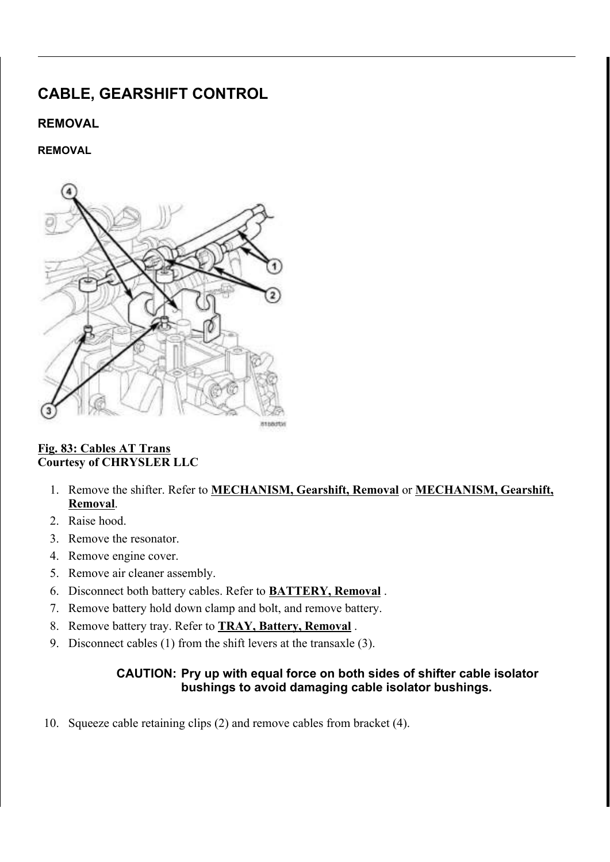# CABLE, GEARSHIFT CONTROL

## REMOVAL

### REMOVAL



#### Fig. 83: Cables AT Trans Courtesy of CHRYSLER LLC

- 1. Remove the shifter. Refer to **MECHANISM**, Gearshift, Removal or **MECHANISM**, Gearshift, Removal.
- 2. Raise hood.
- 3. Remove the resonator.
- 4. Remove engine cover.
- 5. Remove air cleaner assembly.
- 6. Disconnect both battery cables. Refer to BATTERY, Removal .
- 7. Remove battery hold down clamp and bolt, and remove battery.
- 8. Remove battery tray. Refer to **TRAY**, Battery, Removal.
- 9. Disconnect cables (1) from the shift levers at the transaxle (3).

### CAUTION: Pry up with equal force on both sides of shifter cable isolator bushings to avoid damaging cable isolator bushings.

10. Squeeze cable retaining clips (2) and remove cables from bracket (4).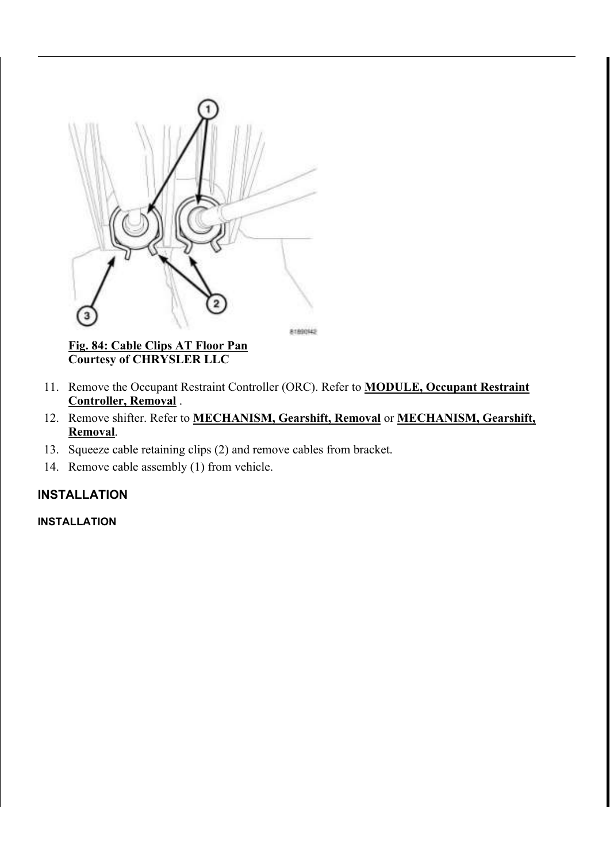

Fig. 84: Cable Clips AT Floor Pan Courtesy of CHRYSLER LLC

- 11. Remove the Occupant Restraint Controller (ORC). Refer to **MODULE, Occupant Restraint** Controller, Removal .
- 12. Remove shifter. Refer to **MECHANISM, Gearshift, Removal** or **MECHANISM**, Gearshift, Removal.
- 13. Squeeze cable retaining clips (2) and remove cables from bracket.
- 14. Remove cable assembly (1) from vehicle.

# INSTALLATION

#### INSTALLATION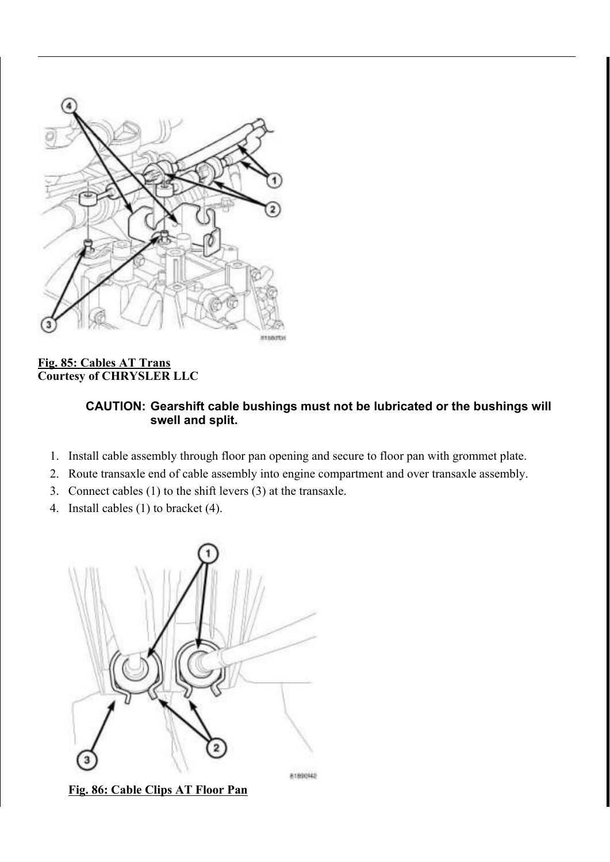

# Fig. 85: Cables AT Trans Courtesy of CHRYSLER LLC

## CAUTION: Gearshift cable bushings must not be lubricated or the bushings will swell and split.

- 1. Install cable assembly through floor pan opening and secure to floor pan with grommet plate.
- 2. Route transaxle end of cable assembly into engine compartment and over transaxle assembly.
- 3. Connect cables (1) to the shift levers (3) at the transaxle.
- 4. Install cables (1) to bracket (4).



Fig. 86: Cable Clips AT Floor Pan

81890942